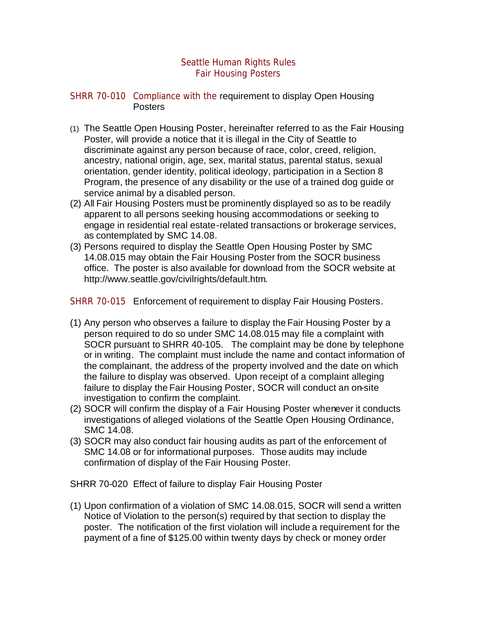## Seattle Human Rights Rules Fair Housing Posters

## SHRR 70-010 Compliance with the requirement to display Open Housing Posters

- (1) The Seattle Open Housing Poster, hereinafter referred to as the Fair Housing Poster, will provide a notice that it is illegal in the City of Seattle to discriminate against any person because of race, color, creed, religion, ancestry, national origin, age, sex, marital status, parental status, sexual orientation, gender identity, political ideology, participation in a Section 8 Program, the presence of any disability or the use of a trained dog guide or service animal by a disabled person.
- (2) All Fair Housing Posters must be prominently displayed so as to be readily apparent to all persons seeking housing accommodations or seeking to engage in residential real estate-related transactions or brokerage services, as contemplated by SMC 14.08.
- (3) Persons required to display the Seattle Open Housing Poster by SMC 14.08.015 may obtain the Fair Housing Poster from the SOCR business office. The poster is also available for download from the SOCR website at http://www.seattle.gov/civilrights/default.htm.

SHRR 70-015 Enforcement of requirement to display Fair Housing Posters.

- (1) Any person who observes a failure to display the Fair Housing Poster by a person required to do so under SMC 14.08.015 may file a complaint with SOCR pursuant to SHRR 40-105. The complaint may be done by telephone or in writing. The complaint must include the name and contact information of the complainant, the address of the property involved and the date on which the failure to display was observed. Upon receipt of a complaint alleging failure to display the Fair Housing Poster, SOCR will conduct an on-site investigation to confirm the complaint.
- (2) SOCR will confirm the display of a Fair Housing Poster whenever it conducts investigations of alleged violations of the Seattle Open Housing Ordinance, SMC 14.08.
- (3) SOCR may also conduct fair housing audits as part of the enforcement of SMC 14.08 or for informational purposes. Those audits may include confirmation of display of the Fair Housing Poster.

SHRR 70-020 Effect of failure to display Fair Housing Poster

(1) Upon confirmation of a violation of SMC 14.08.015, SOCR will send a written Notice of Violation to the person(s) required by that section to display the poster. The notification of the first violation will include a requirement for the payment of a fine of \$125.00 within twenty days by check or money order